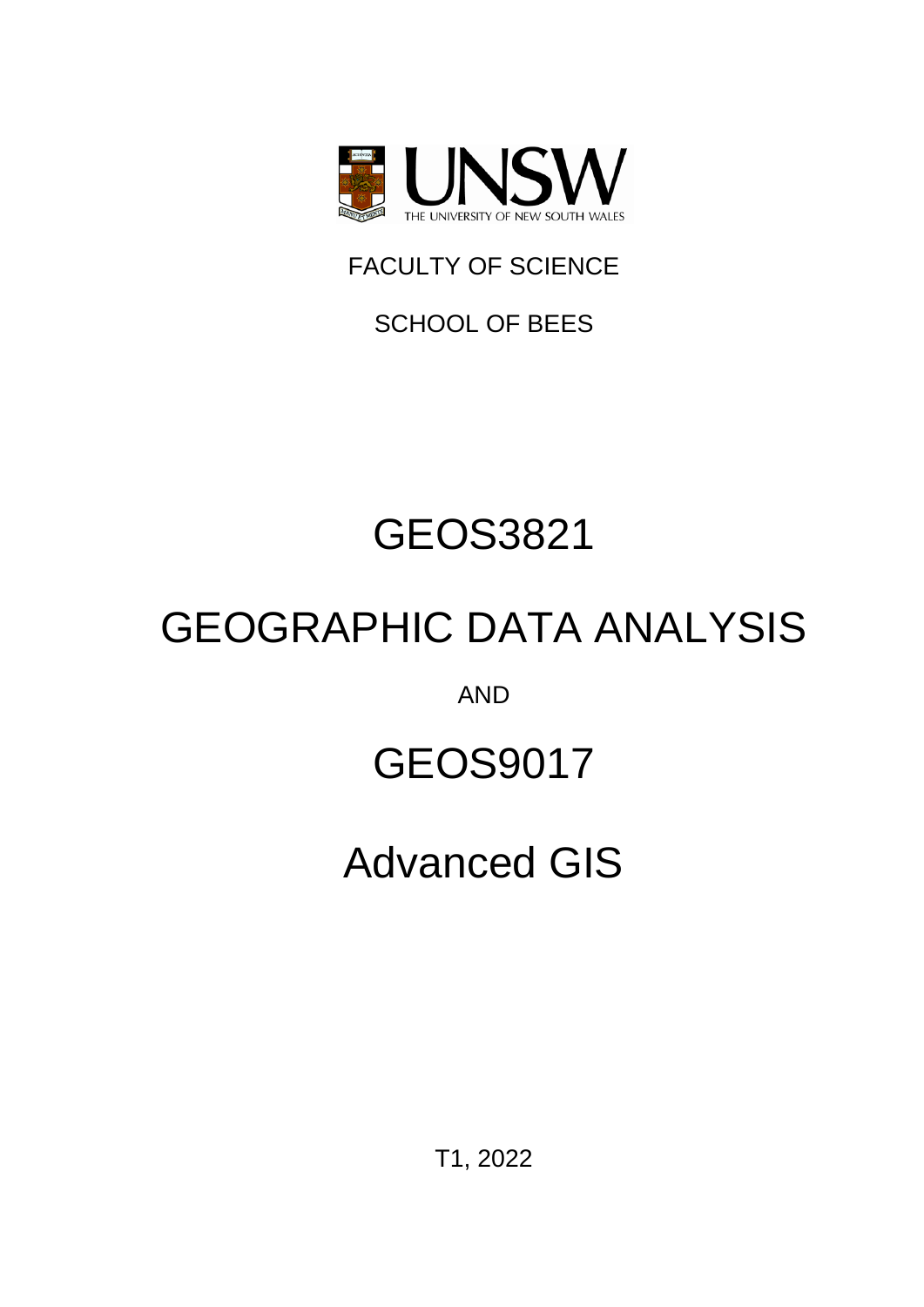

FACULTY OF SCIENCE

SCHOOL OF BEES

# GEOS3821

# GEOGRAPHIC DATA ANALYSIS

AND

# GEOS9017

# Advanced GIS

T1, 2022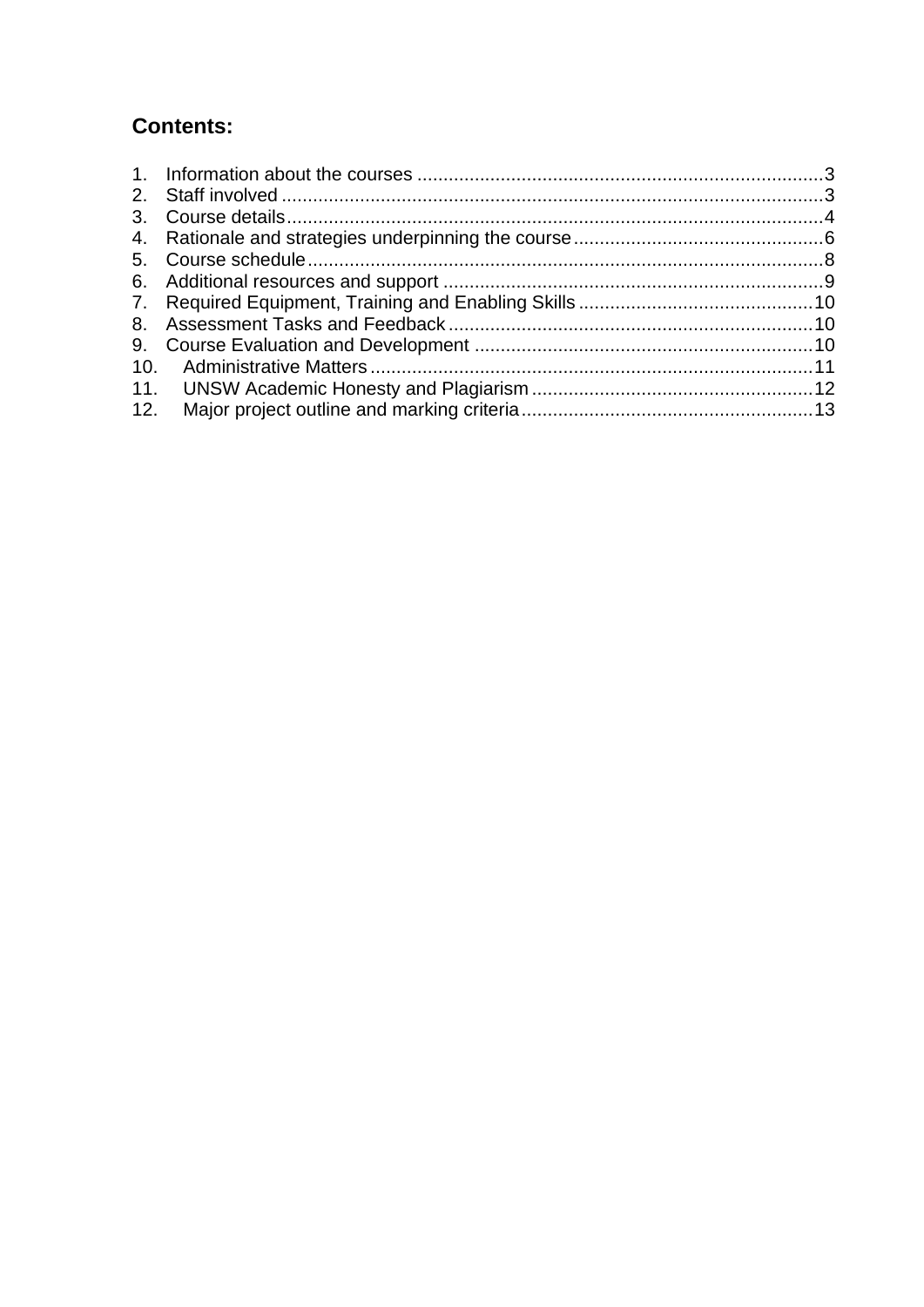## **Contents:**

| 10. |  |
|-----|--|
|     |  |
| 12. |  |
|     |  |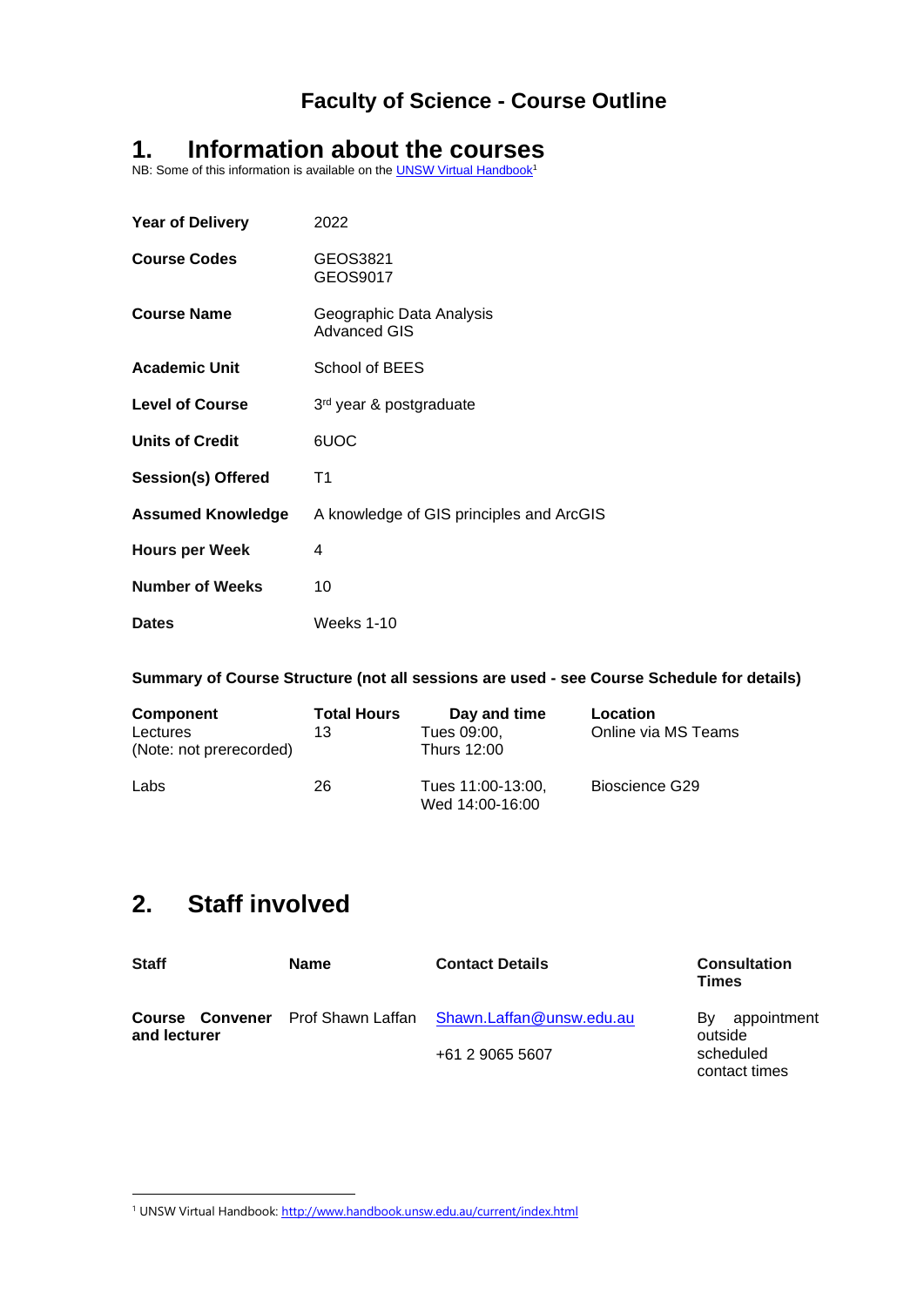## <span id="page-2-0"></span>**1. Information about the courses**

NB: Some of this information is available on the **UNSW Virtual Handbook**<sup>1</sup>

| <b>Year of Delivery</b>   | 2022                                            |
|---------------------------|-------------------------------------------------|
| <b>Course Codes</b>       | GEOS3821<br>GEOS9017                            |
| <b>Course Name</b>        | Geographic Data Analysis<br><b>Advanced GIS</b> |
| <b>Academic Unit</b>      | School of BEES                                  |
| <b>Level of Course</b>    | 3rd year & postgraduate                         |
| <b>Units of Credit</b>    | 6UOC                                            |
| <b>Session(s) Offered</b> | T1                                              |
| <b>Assumed Knowledge</b>  | A knowledge of GIS principles and ArcGIS        |
| <b>Hours per Week</b>     | 4                                               |
| <b>Number of Weeks</b>    | 10                                              |
| <b>Dates</b>              | <b>Weeks 1-10</b>                               |

**Summary of Course Structure (not all sessions are used - see Course Schedule for details)**

| <b>Component</b><br>Lectures<br>(Note: not prerecorded) | <b>Total Hours</b><br>13 | Day and time<br>Tues 09:00,<br>Thurs 12:00 | Location<br>Online via MS Teams |
|---------------------------------------------------------|--------------------------|--------------------------------------------|---------------------------------|
| Labs                                                    | 26                       | Tues 11:00-13:00,<br>Wed 14:00-16:00       | Bioscience G29                  |

## <span id="page-2-1"></span>**2. Staff involved**

| <b>Staff</b> | <b>Name</b> | <b>Contact Details</b>                                            | <b>Consultation</b><br><b>Times</b> |
|--------------|-------------|-------------------------------------------------------------------|-------------------------------------|
| and lecturer |             | <b>Course Convener</b> Prof Shawn Laffan Shawn.Laffan@unsw.edu.au | appointment<br>Bv.<br>outside       |
|              |             | +61 2 9065 5607                                                   | scheduled<br>contact times          |

<sup>&</sup>lt;sup>1</sup> UNSW Virtual Handbook[: http://www.handbook.unsw.edu.au/current/index.html](http://www.handbook.unsw.edu.au/current/index.html)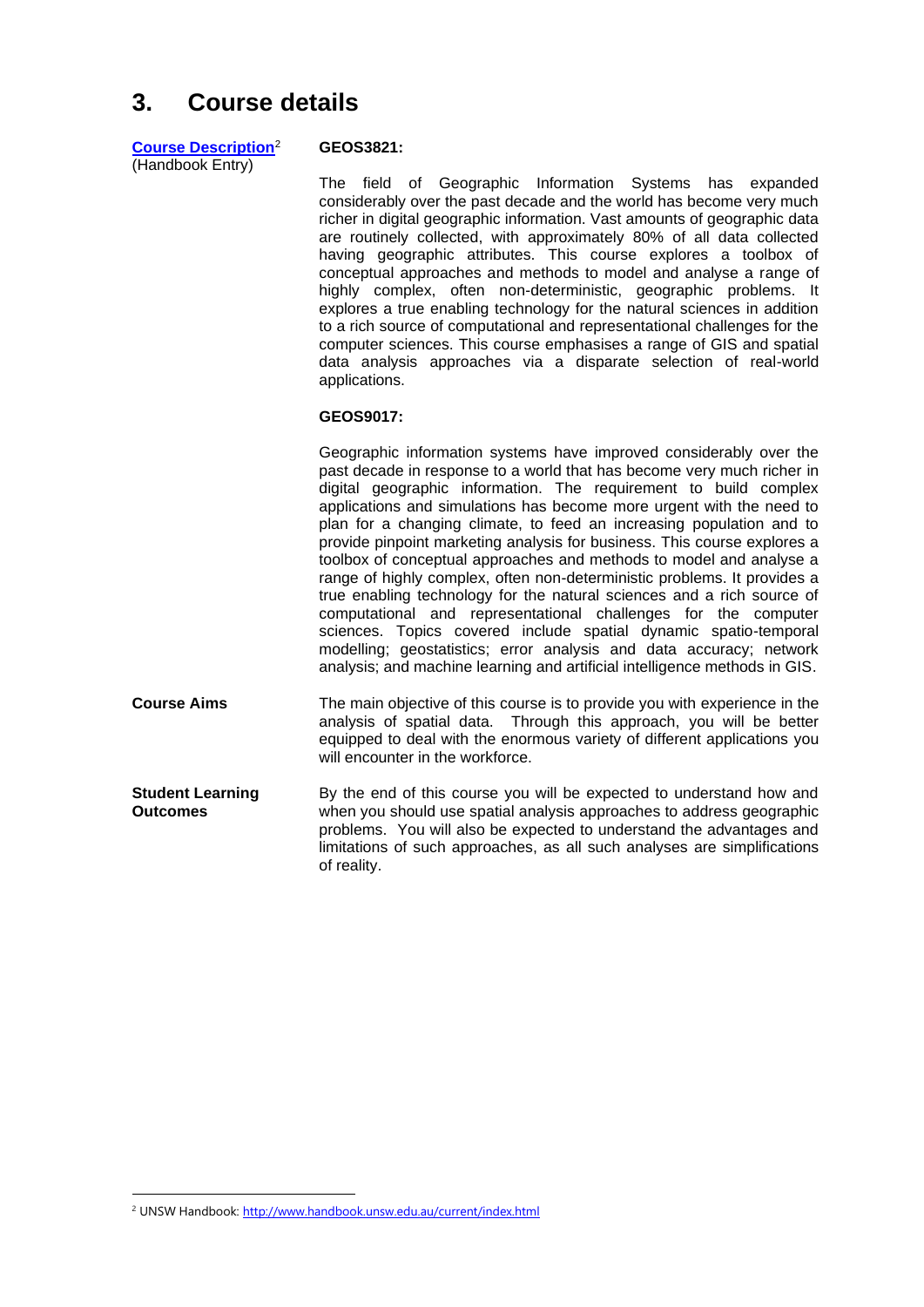## <span id="page-3-0"></span>**3. Course details**

| <b>Course Description</b> <sup>2</sup> |  |
|----------------------------------------|--|
| (Handbook Entry)                       |  |

#### **GEOS3821:**

The field of Geographic Information Systems has expanded considerably over the past decade and the world has become very much richer in digital geographic information. Vast amounts of geographic data are routinely collected, with approximately 80% of all data collected having geographic attributes. This course explores a toolbox of conceptual approaches and methods to model and analyse a range of highly complex, often non-deterministic, geographic problems. It explores a true enabling technology for the natural sciences in addition to a rich source of computational and representational challenges for the computer sciences. This course emphasises a range of GIS and spatial data analysis approaches via a disparate selection of real-world applications.

#### **GEOS9017:**

Geographic information systems have improved considerably over the past decade in response to a world that has become very much richer in digital geographic information. The requirement to build complex applications and simulations has become more urgent with the need to plan for a changing climate, to feed an increasing population and to provide pinpoint marketing analysis for business. This course explores a toolbox of conceptual approaches and methods to model and analyse a range of highly complex, often non-deterministic problems. It provides a true enabling technology for the natural sciences and a rich source of computational and representational challenges for the computer sciences. Topics covered include spatial dynamic spatio-temporal modelling; geostatistics; error analysis and data accuracy; network analysis; and machine learning and artificial intelligence methods in GIS.

- **Course Aims** The main objective of this course is to provide you with experience in the analysis of spatial data. Through this approach, you will be better equipped to deal with the enormous variety of different applications you will encounter in the workforce.
- **Student Learning Outcomes** By the end of this course you will be expected to understand how and when you should use spatial analysis approaches to address geographic problems. You will also be expected to understand the advantages and limitations of such approaches, as all such analyses are simplifications of reality.

<sup>&</sup>lt;sup>2</sup> UNSW Handbook[: http://www.handbook.unsw.edu.au/current/index.html](http://www.handbook.unsw.edu.au/current/index.html)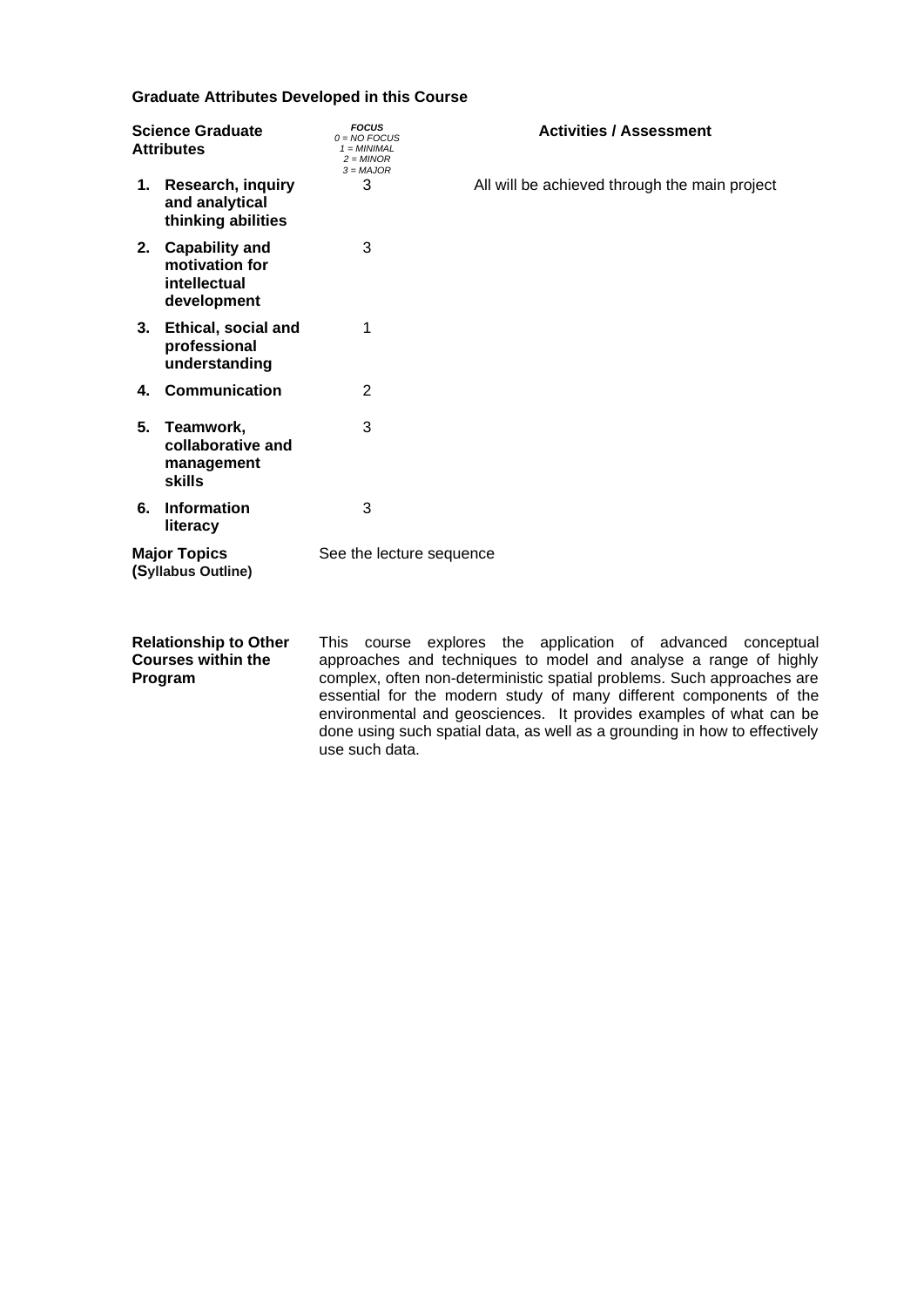#### **Graduate Attributes Developed in this Course**

| <b>Science Graduate</b><br><b>Attributes</b> |                                                                    | <b>FOCUS</b><br>$0 = NO$ FOCUS<br>$1 = MINIMAL$<br>$2 = MINOR$<br>$3 = MAJOR$ | <b>Activities / Assessment</b>                |
|----------------------------------------------|--------------------------------------------------------------------|-------------------------------------------------------------------------------|-----------------------------------------------|
|                                              | 1. Research, inquiry<br>and analytical<br>thinking abilities       | 3                                                                             | All will be achieved through the main project |
|                                              | 2. Capability and<br>motivation for<br>intellectual<br>development | 3                                                                             |                                               |
|                                              | 3. Ethical, social and<br>professional<br>understanding            | 1                                                                             |                                               |
|                                              | 4. Communication                                                   | 2                                                                             |                                               |
| 5.                                           | Teamwork,<br>collaborative and<br>management<br><b>skills</b>      | 3                                                                             |                                               |
| 6.                                           | <b>Information</b><br>literacy                                     | 3                                                                             |                                               |
|                                              | <b>Major Topics</b><br>(Syllabus Outline)                          | See the lecture sequence                                                      |                                               |

**Relationship to Other Courses within the Program**

This course explores the application of advanced conceptual approaches and techniques to model and analyse a range of highly complex, often non-deterministic spatial problems. Such approaches are essential for the modern study of many different components of the environmental and geosciences. It provides examples of what can be done using such spatial data, as well as a grounding in how to effectively use such data.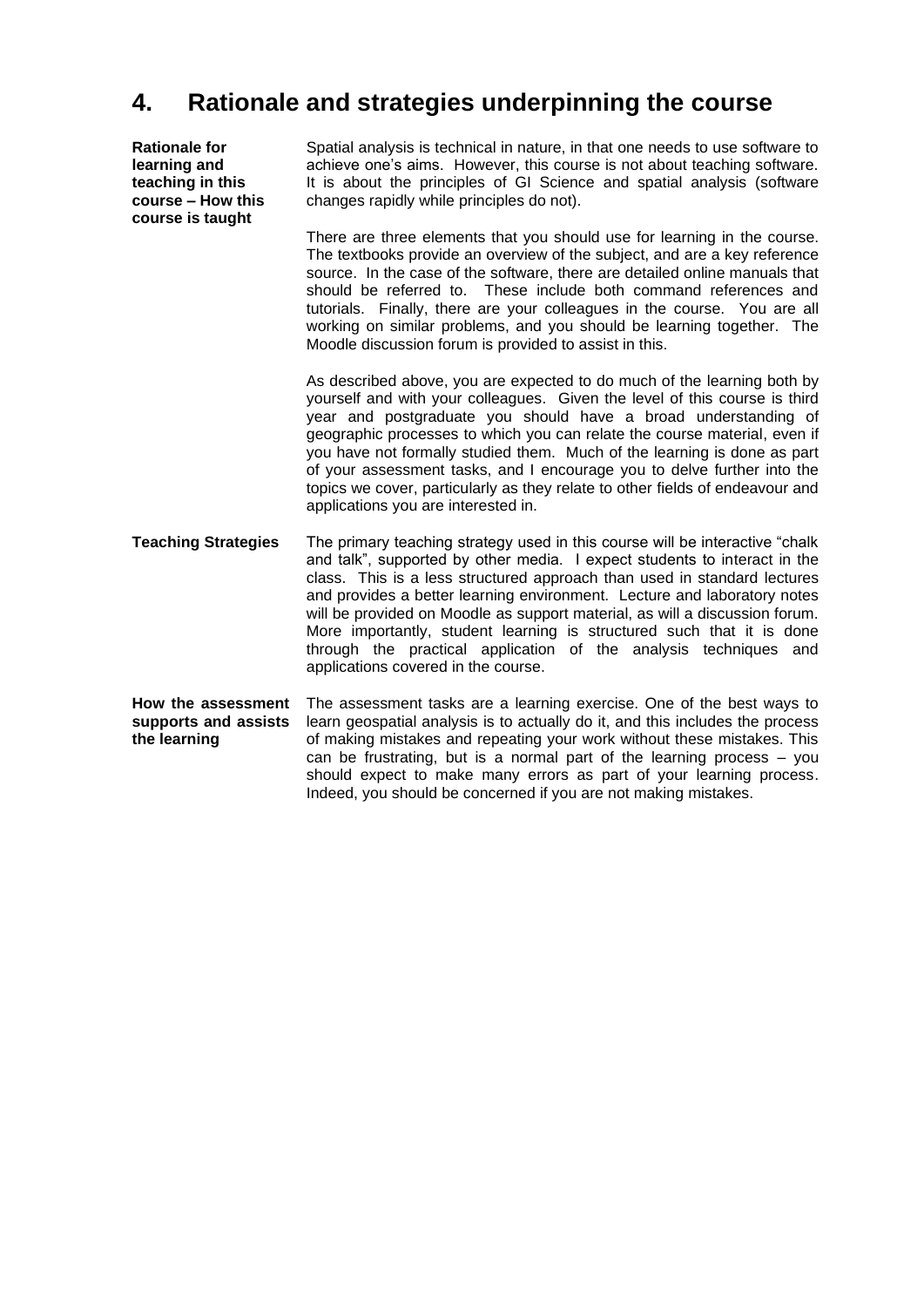### <span id="page-5-0"></span>**4. Rationale and strategies underpinning the course**

**Rationale for learning and teaching in this course – How this course is taught**

Spatial analysis is technical in nature, in that one needs to use software to achieve one's aims. However, this course is not about teaching software. It is about the principles of GI Science and spatial analysis (software changes rapidly while principles do not).

There are three elements that you should use for learning in the course. The textbooks provide an overview of the subject, and are a key reference source. In the case of the software, there are detailed online manuals that should be referred to. These include both command references and tutorials. Finally, there are your colleagues in the course. You are all working on similar problems, and you should be learning together. The Moodle discussion forum is provided to assist in this.

As described above, you are expected to do much of the learning both by yourself and with your colleagues. Given the level of this course is third year and postgraduate you should have a broad understanding of geographic processes to which you can relate the course material, even if you have not formally studied them. Much of the learning is done as part of your assessment tasks, and I encourage you to delve further into the topics we cover, particularly as they relate to other fields of endeavour and applications you are interested in.

**Teaching Strategies** The primary teaching strategy used in this course will be interactive "chalk and talk", supported by other media. I expect students to interact in the class. This is a less structured approach than used in standard lectures and provides a better learning environment. Lecture and laboratory notes will be provided on Moodle as support material, as will a discussion forum. More importantly, student learning is structured such that it is done through the practical application of the analysis techniques and applications covered in the course.

**How the assessment supports and assists the learning**  The assessment tasks are a learning exercise. One of the best ways to learn geospatial analysis is to actually do it, and this includes the process of making mistakes and repeating your work without these mistakes. This can be frustrating, but is a normal part of the learning process – you should expect to make many errors as part of your learning process. Indeed, you should be concerned if you are not making mistakes.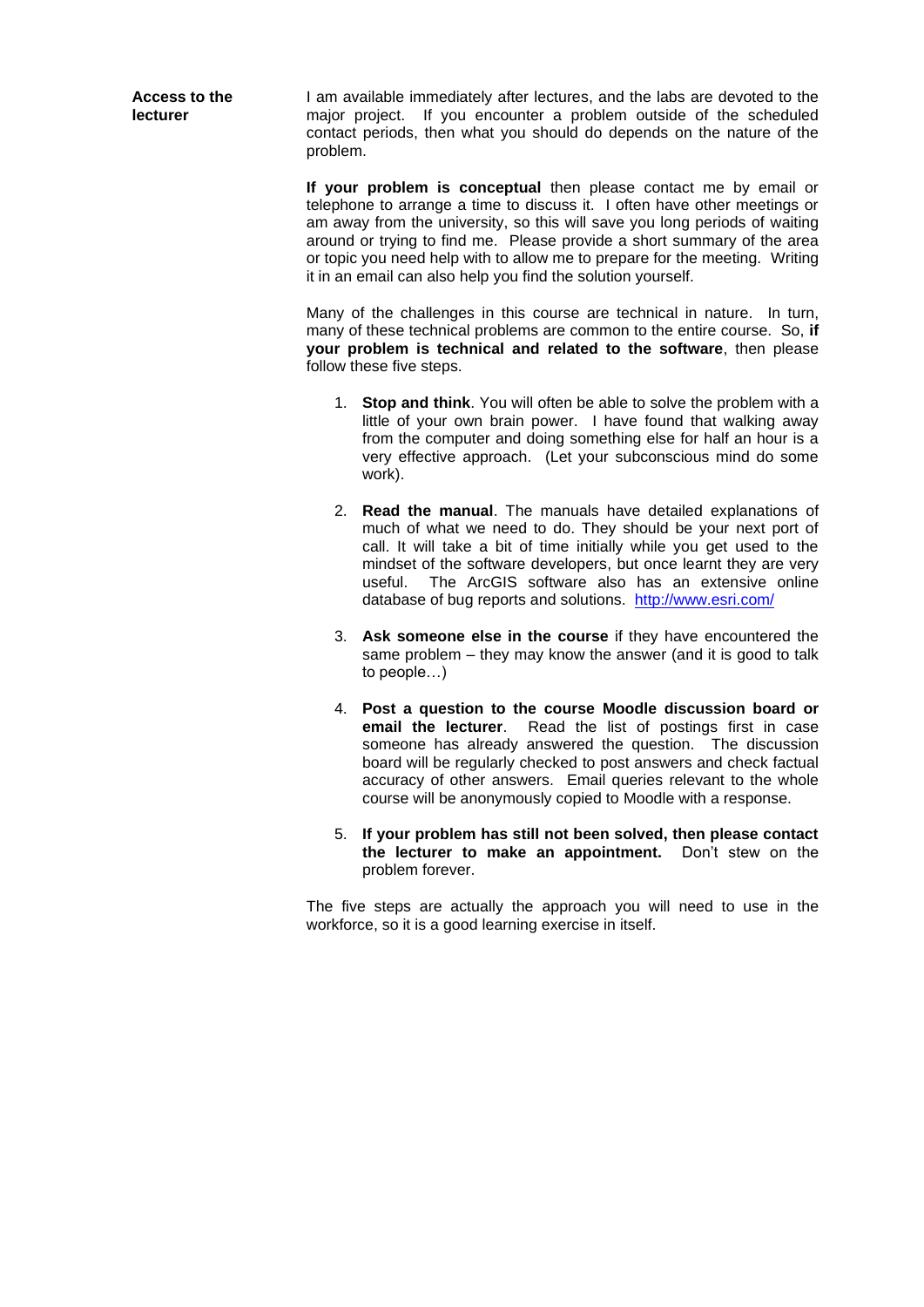**Access to the lecturer**

I am available immediately after lectures, and the labs are devoted to the major project. If you encounter a problem outside of the scheduled contact periods, then what you should do depends on the nature of the problem.

**If your problem is conceptual** then please contact me by email or telephone to arrange a time to discuss it. I often have other meetings or am away from the university, so this will save you long periods of waiting around or trying to find me. Please provide a short summary of the area or topic you need help with to allow me to prepare for the meeting. Writing it in an email can also help you find the solution yourself.

Many of the challenges in this course are technical in nature. In turn, many of these technical problems are common to the entire course. So, **if your problem is technical and related to the software**, then please follow these five steps.

- 1. **Stop and think**. You will often be able to solve the problem with a little of your own brain power. I have found that walking away from the computer and doing something else for half an hour is a very effective approach. (Let your subconscious mind do some work).
- 2. **Read the manual**. The manuals have detailed explanations of much of what we need to do. They should be your next port of call. It will take a bit of time initially while you get used to the mindset of the software developers, but once learnt they are very useful. The ArcGIS software also has an extensive online database of bug reports and solutions. <http://www.esri.com/>
- 3. **Ask someone else in the course** if they have encountered the same problem – they may know the answer (and it is good to talk to people…)
- 4. **Post a question to the course Moodle discussion board or email the lecturer**. Read the list of postings first in case someone has already answered the question. The discussion board will be regularly checked to post answers and check factual accuracy of other answers. Email queries relevant to the whole course will be anonymously copied to Moodle with a response.
- 5. **If your problem has still not been solved, then please contact the lecturer to make an appointment.** Don't stew on the problem forever.

The five steps are actually the approach you will need to use in the workforce, so it is a good learning exercise in itself.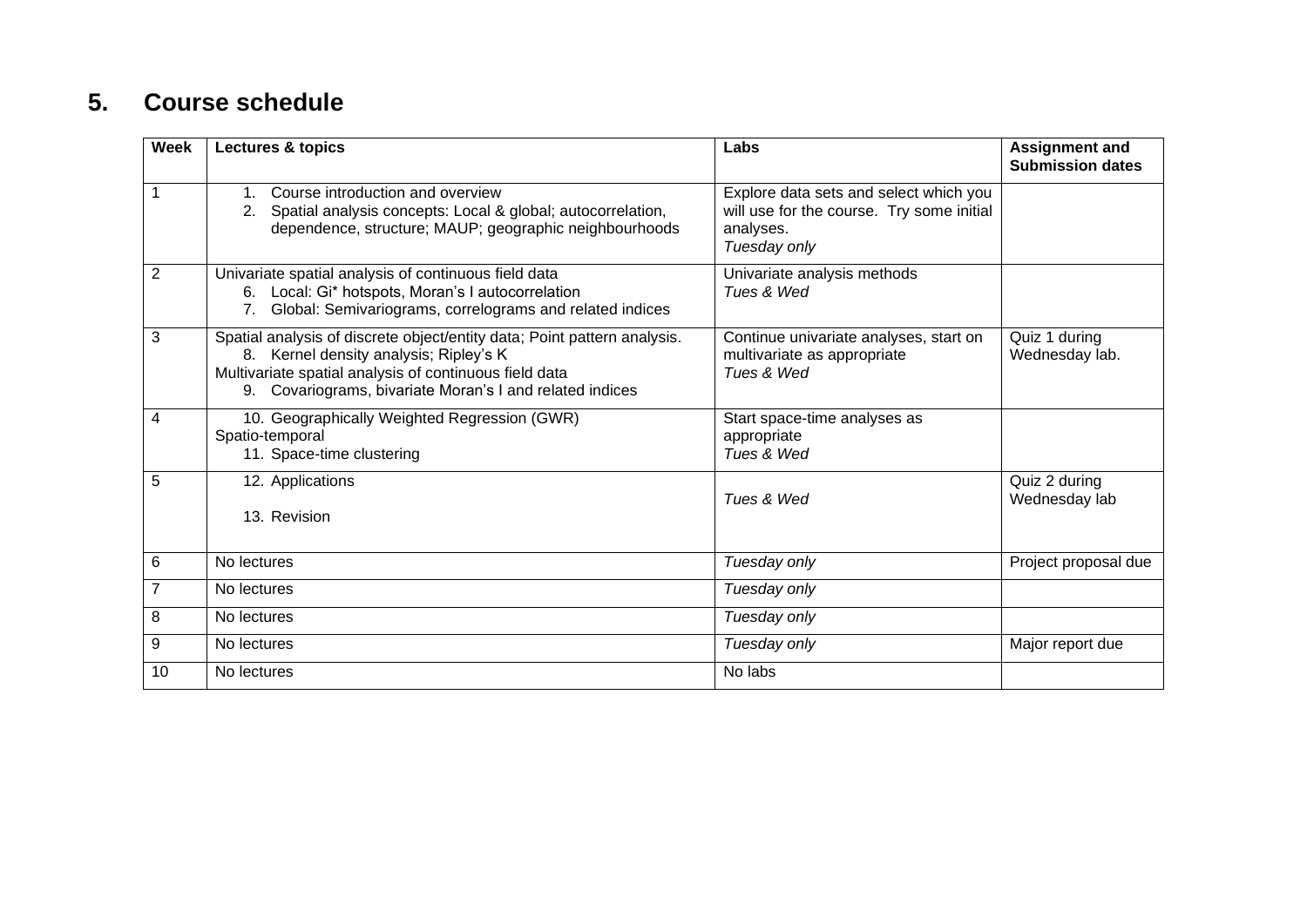## **5. Course schedule**

<span id="page-7-0"></span>

| <b>Week</b>    | <b>Lectures &amp; topics</b>                                                                                                                                                                                                             | Labs                                                                                                             | <b>Assignment and</b><br><b>Submission dates</b> |
|----------------|------------------------------------------------------------------------------------------------------------------------------------------------------------------------------------------------------------------------------------------|------------------------------------------------------------------------------------------------------------------|--------------------------------------------------|
|                | Course introduction and overview<br>Spatial analysis concepts: Local & global; autocorrelation,<br>dependence, structure; MAUP; geographic neighbourhoods                                                                                | Explore data sets and select which you<br>will use for the course. Try some initial<br>analyses.<br>Tuesday only |                                                  |
| $\overline{2}$ | Univariate spatial analysis of continuous field data<br>6. Local: Gi* hotspots, Moran's I autocorrelation<br>Global: Semivariograms, correlograms and related indices<br>7 <sup>1</sup>                                                  | Univariate analysis methods<br>Tues & Wed                                                                        |                                                  |
| 3              | Spatial analysis of discrete object/entity data; Point pattern analysis.<br>8. Kernel density analysis; Ripley's K<br>Multivariate spatial analysis of continuous field data<br>9. Covariograms, bivariate Moran's I and related indices | Continue univariate analyses, start on<br>multivariate as appropriate<br>Tues & Wed                              | Quiz 1 during<br>Wednesday lab.                  |
| 4              | 10. Geographically Weighted Regression (GWR)<br>Spatio-temporal<br>11. Space-time clustering                                                                                                                                             | Start space-time analyses as<br>appropriate<br>Tues & Wed                                                        |                                                  |
| 5              | 12. Applications<br>13. Revision                                                                                                                                                                                                         | Tues & Wed                                                                                                       | Quiz 2 during<br>Wednesday lab                   |
| 6              | No lectures                                                                                                                                                                                                                              | Tuesday only                                                                                                     | Project proposal due                             |
| $\overline{7}$ | No lectures                                                                                                                                                                                                                              | Tuesday only                                                                                                     |                                                  |
| 8              | No lectures                                                                                                                                                                                                                              | Tuesday only                                                                                                     |                                                  |
| 9              | No lectures                                                                                                                                                                                                                              | Tuesday only                                                                                                     | Major report due                                 |
| 10             | No lectures                                                                                                                                                                                                                              | No labs                                                                                                          |                                                  |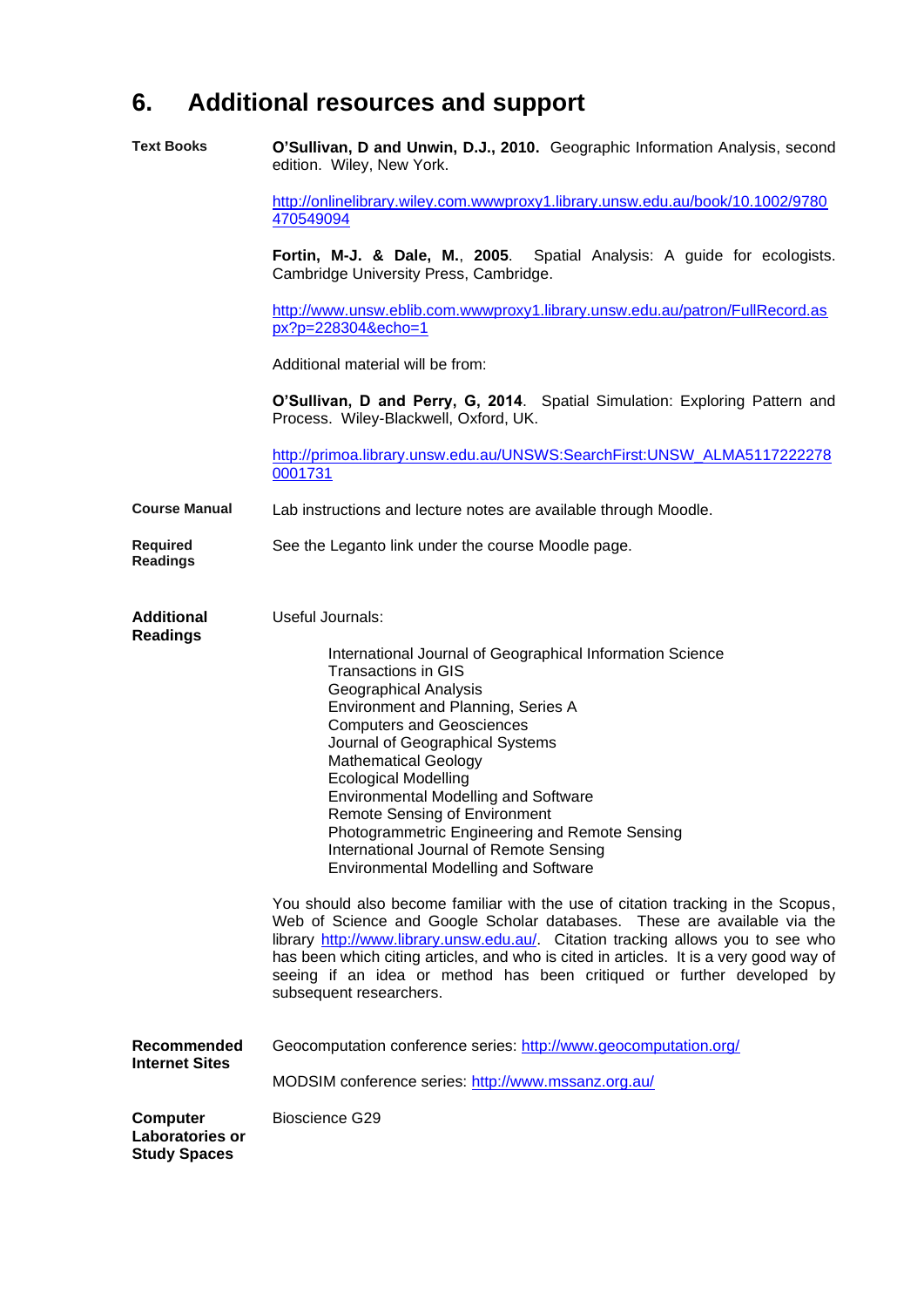## <span id="page-8-0"></span>**6. Additional resources and support**

**Text Books O'Sullivan, D and Unwin, D.J., 2010.** Geographic Information Analysis, second edition. Wiley, New York.

> [http://onlinelibrary.wiley.com.wwwproxy1.library.unsw.edu.au/book/10.1002/9780](http://onlinelibrary.wiley.com.wwwproxy1.library.unsw.edu.au/book/10.1002/9780470549094) [470549094](http://onlinelibrary.wiley.com.wwwproxy1.library.unsw.edu.au/book/10.1002/9780470549094)

**Fortin, M-J. & Dale, M.**, **2005**. Spatial Analysis: A guide for ecologists. Cambridge University Press, Cambridge.

[http://www.unsw.eblib.com.wwwproxy1.library.unsw.edu.au/patron/FullRecord.as](http://www.unsw.eblib.com.wwwproxy1.library.unsw.edu.au/patron/FullRecord.aspx?p=228304&echo=1) [px?p=228304&echo=1](http://www.unsw.eblib.com.wwwproxy1.library.unsw.edu.au/patron/FullRecord.aspx?p=228304&echo=1)

Additional material will be from:

**O'Sullivan, D and Perry, G, 2014**. Spatial Simulation: Exploring Pattern and Process. Wiley-Blackwell, Oxford, UK.

[http://primoa.library.unsw.edu.au/UNSWS:SearchFirst:UNSW\\_ALMA5117222278](http://primoa.library.unsw.edu.au/UNSWS:SearchFirst:UNSW_ALMA51172222780001731) [0001731](http://primoa.library.unsw.edu.au/UNSWS:SearchFirst:UNSW_ALMA51172222780001731)

**Course Manual** Lab instructions and lecture notes are available through Moodle.

**Required Readings** See the Leganto link under the course Moodle page.

| Additional      | Useful Journals: |
|-----------------|------------------|
| <b>Readings</b> |                  |

**Study Spaces**

| International Journal of Geographical Information Science<br>Transactions in GIS<br>Geographical Analysis<br>Environment and Planning, Series A<br><b>Computers and Geosciences</b> |
|-------------------------------------------------------------------------------------------------------------------------------------------------------------------------------------|
| Journal of Geographical Systems<br><b>Mathematical Geology</b>                                                                                                                      |
| <b>Ecological Modelling</b>                                                                                                                                                         |
| <b>Environmental Modelling and Software</b><br><b>Remote Sensing of Environment</b>                                                                                                 |
| Photogrammetric Engineering and Remote Sensing<br>International Journal of Remote Sensing<br><b>Environmental Modelling and Software</b>                                            |
|                                                                                                                                                                                     |

You should also become familiar with the use of citation tracking in the Scopus, Web of Science and Google Scholar databases. These are available via the library [http://www.library.unsw.edu.au/.](http://www.library.unsw.edu.au/) Citation tracking allows you to see who has been which citing articles, and who is cited in articles. It is a very good way of seeing if an idea or method has been critiqued or further developed by subsequent researchers.

**Recommended Internet Sites** Geocomputation conference series:<http://www.geocomputation.org/> MODSIM conference series:<http://www.mssanz.org.au/> **Computer Laboratories or**  Bioscience G29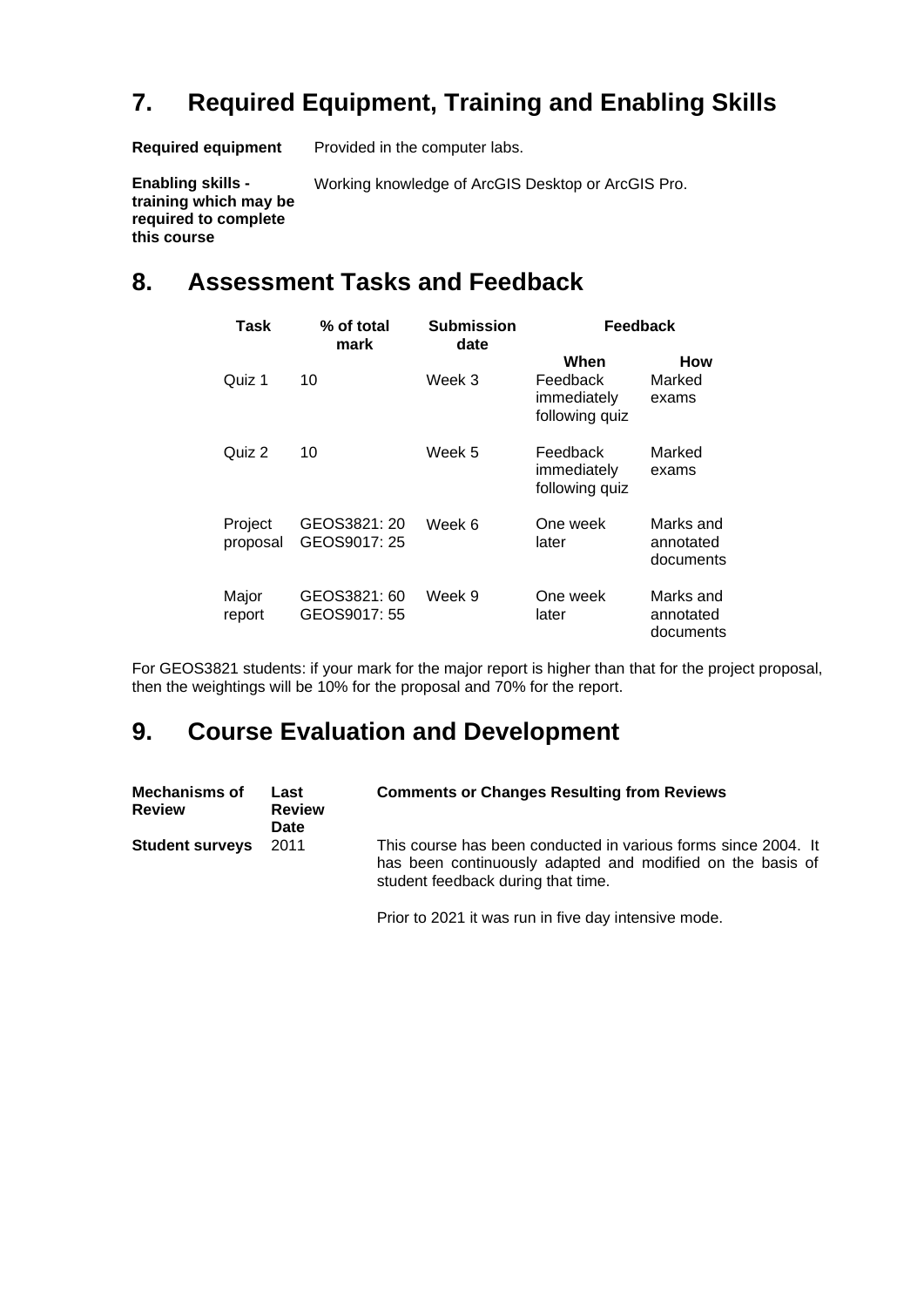## <span id="page-9-0"></span>**7. Required Equipment, Training and Enabling Skills**

Working knowledge of ArcGIS Desktop or ArcGIS Pro.

**Required equipment** Provided in the computer labs.

**Enabling skills training which may be required to complete this course**

## <span id="page-9-1"></span>**8. Assessment Tasks and Feedback**

| Task                | % of total<br>mark           | <b>Submission</b><br>date |                                                   | Feedback                            |
|---------------------|------------------------------|---------------------------|---------------------------------------------------|-------------------------------------|
| Quiz 1              | 10                           | Week 3                    | When<br>Feedback<br>immediately<br>following quiz | How<br>Marked<br>exams              |
| Quiz 2              | 10                           | Week 5                    | Feedback<br>immediately<br>following quiz         | Marked<br>exams                     |
| Project<br>proposal | GEOS3821: 20<br>GEOS9017: 25 | Week 6                    | One week<br>later                                 | Marks and<br>annotated<br>documents |
| Major<br>report     | GEOS3821: 60<br>GEOS9017: 55 | Week 9                    | One week<br>later                                 | Marks and<br>annotated<br>documents |

For GEOS3821 students: if your mark for the major report is higher than that for the project proposal, then the weightings will be 10% for the proposal and 70% for the report.

## <span id="page-9-2"></span>**9. Course Evaluation and Development**

| <b>Mechanisms of</b><br><b>Review</b> | Last<br><b>Review</b><br>Date | <b>Comments or Changes Resulting from Reviews</b>                                                                                                                  |
|---------------------------------------|-------------------------------|--------------------------------------------------------------------------------------------------------------------------------------------------------------------|
| <b>Student surveys</b>                | 2011                          | This course has been conducted in various forms since 2004. It<br>has been continuously adapted and modified on the basis of<br>student feedback during that time. |

Prior to 2021 it was run in five day intensive mode.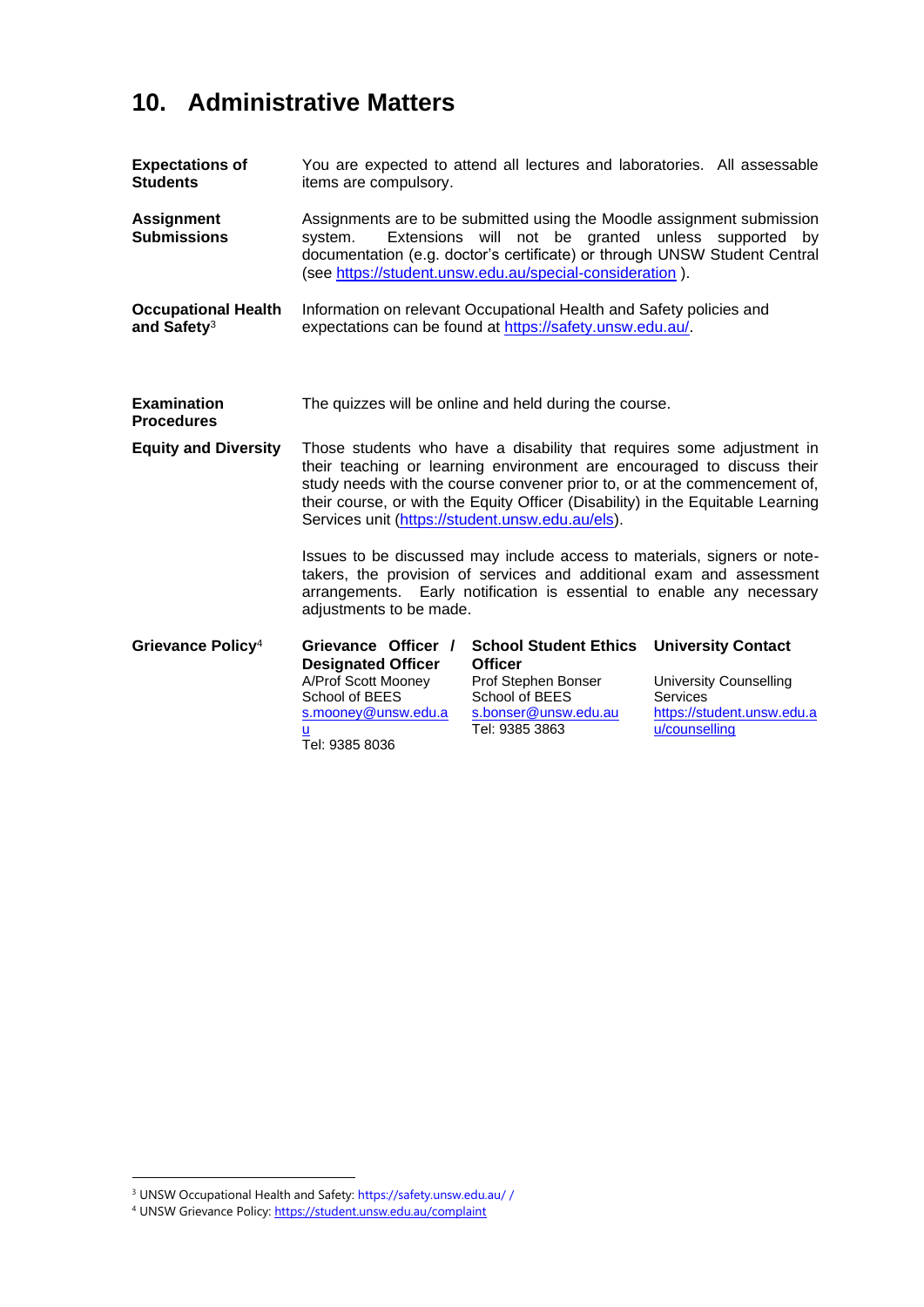## <span id="page-10-0"></span>**10. Administrative Matters**

| <b>Expectations of</b><br><b>Students</b>             | You are expected to attend all lectures and laboratories. All assessable<br>items are compulsory.                                                                                                                                                                                                                                                                   |                                                                                                                                   |                                                                                                                       |  |
|-------------------------------------------------------|---------------------------------------------------------------------------------------------------------------------------------------------------------------------------------------------------------------------------------------------------------------------------------------------------------------------------------------------------------------------|-----------------------------------------------------------------------------------------------------------------------------------|-----------------------------------------------------------------------------------------------------------------------|--|
| <b>Assignment</b><br><b>Submissions</b>               | Assignments are to be submitted using the Moodle assignment submission<br>Extensions will not be granted unless supported by<br>svstem.<br>documentation (e.g. doctor's certificate) or through UNSW Student Central<br>(see https://student.unsw.edu.au/special-consideration).                                                                                    |                                                                                                                                   |                                                                                                                       |  |
| <b>Occupational Health</b><br>and Safety <sup>3</sup> | Information on relevant Occupational Health and Safety policies and<br>expectations can be found at https://safety.unsw.edu.au/.                                                                                                                                                                                                                                    |                                                                                                                                   |                                                                                                                       |  |
| <b>Examination</b><br><b>Procedures</b>               | The quizzes will be online and held during the course.                                                                                                                                                                                                                                                                                                              |                                                                                                                                   |                                                                                                                       |  |
| <b>Equity and Diversity</b>                           | Those students who have a disability that requires some adjustment in<br>their teaching or learning environment are encouraged to discuss their<br>study needs with the course convener prior to, or at the commencement of,<br>their course, or with the Equity Officer (Disability) in the Equitable Learning<br>Services unit (https://student.unsw.edu.au/els). |                                                                                                                                   |                                                                                                                       |  |
|                                                       | Issues to be discussed may include access to materials, signers or note-<br>takers, the provision of services and additional exam and assessment<br>arrangements. Early notification is essential to enable any necessary<br>adjustments to be made.                                                                                                                |                                                                                                                                   |                                                                                                                       |  |
| Grievance Policy <sup>4</sup>                         | Grievance Officer /<br><b>Designated Officer</b><br>A/Prof Scott Mooney<br>School of BEES<br>s.mooney@unsw.edu.a<br>ū<br>Tel: 9385 8036                                                                                                                                                                                                                             | <b>School Student Ethics</b><br><b>Officer</b><br>Prof Stephen Bonser<br>School of BEES<br>s.bonser@unsw.edu.au<br>Tel: 9385 3863 | <b>University Contact</b><br><b>University Counselling</b><br>Services<br>https://student.unsw.edu.a<br>u/counselling |  |

<sup>3</sup> UNSW Occupational Health and Safety: https://safety.unsw.edu.au/ /

<sup>4</sup> UNSW Grievance Policy: https://student.unsw.edu.au/complaint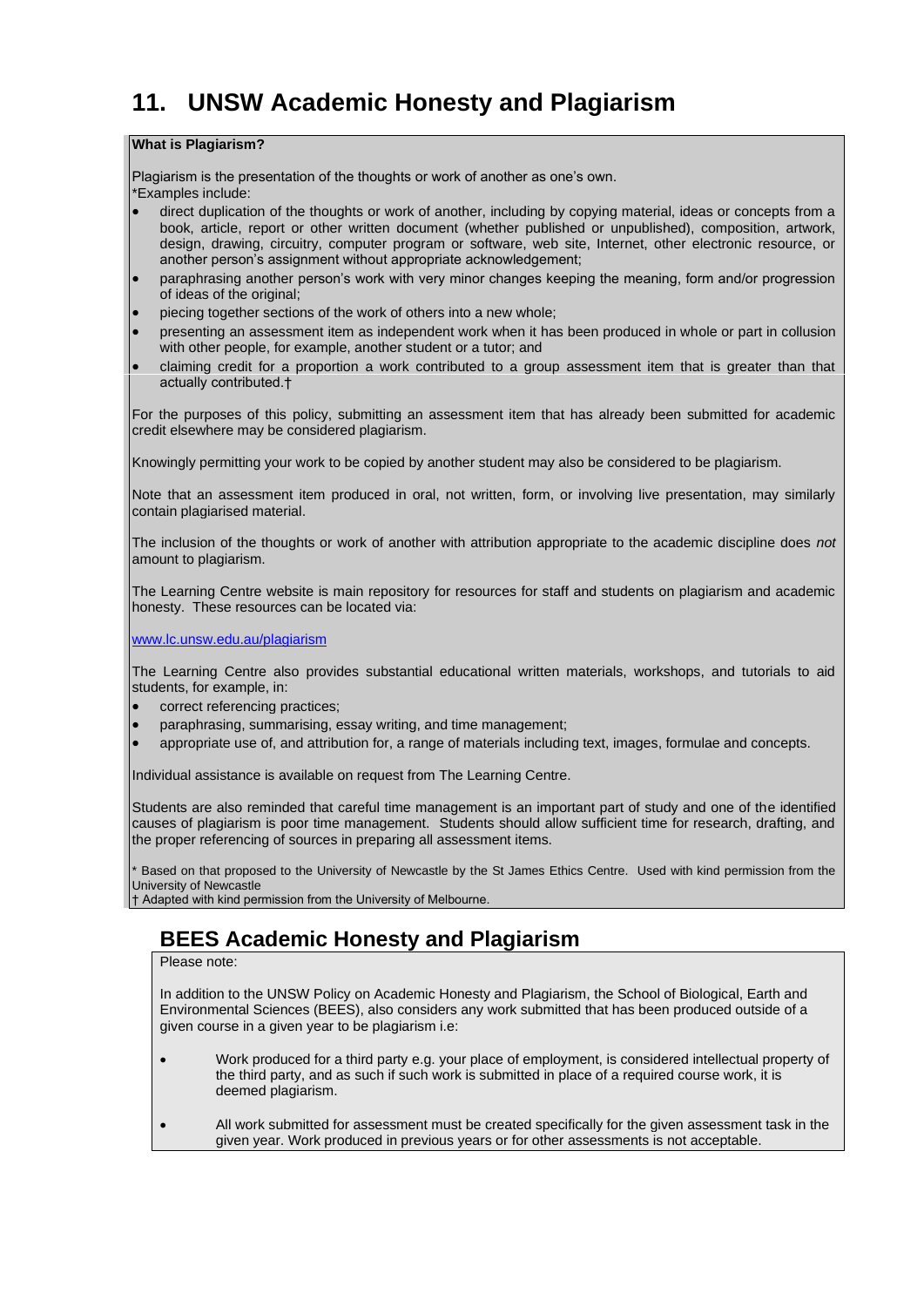## <span id="page-11-0"></span>**11. UNSW Academic Honesty and Plagiarism**

#### **What is Plagiarism?**

Plagiarism is the presentation of the thoughts or work of another as one's own. \*Examples include:

- direct duplication of the thoughts or work of another, including by copying material, ideas or concepts from a book, article, report or other written document (whether published or unpublished), composition, artwork, design, drawing, circuitry, computer program or software, web site, Internet, other electronic resource, or another person's assignment without appropriate acknowledgement;
- paraphrasing another person's work with very minor changes keeping the meaning, form and/or progression of ideas of the original;
- piecing together sections of the work of others into a new whole;
- presenting an assessment item as independent work when it has been produced in whole or part in collusion with other people, for example, another student or a tutor; and
- claiming credit for a proportion a work contributed to a group assessment item that is greater than that actually contributed.†

For the purposes of this policy, submitting an assessment item that has already been submitted for academic credit elsewhere may be considered plagiarism.

Knowingly permitting your work to be copied by another student may also be considered to be plagiarism.

Note that an assessment item produced in oral, not written, form, or involving live presentation, may similarly contain plagiarised material.

The inclusion of the thoughts or work of another with attribution appropriate to the academic discipline does *not*  amount to plagiarism.

The Learning Centre website is main repository for resources for staff and students on plagiarism and academic honesty. These resources can be located via:

[www.lc.unsw.edu.au/plagiarism](http://www.lc.unsw.edu.au/plagiarism)

The Learning Centre also provides substantial educational written materials, workshops, and tutorials to aid students, for example, in:

- correct referencing practices;
- paraphrasing, summarising, essay writing, and time management;
- appropriate use of, and attribution for, a range of materials including text, images, formulae and concepts.

Individual assistance is available on request from The Learning Centre.

Students are also reminded that careful time management is an important part of study and one of the identified causes of plagiarism is poor time management. Students should allow sufficient time for research, drafting, and the proper referencing of sources in preparing all assessment items.

Based on that proposed to the University of Newcastle by the St James Ethics Centre. Used with kind permission from the University of Newcastle

† Adapted with kind permission from the University of Melbourne.

### **BEES Academic Honesty and Plagiarism**

Please note:

In addition to the UNSW Policy on Academic Honesty and Plagiarism, the School of Biological, Earth and Environmental Sciences (BEES), also considers any work submitted that has been produced outside of a given course in a given year to be plagiarism i.e:

- Work produced for a third party e.g. your place of employment, is considered intellectual property of the third party, and as such if such work is submitted in place of a required course work, it is deemed plagiarism.
- All work submitted for assessment must be created specifically for the given assessment task in the given year. Work produced in previous years or for other assessments is not acceptable.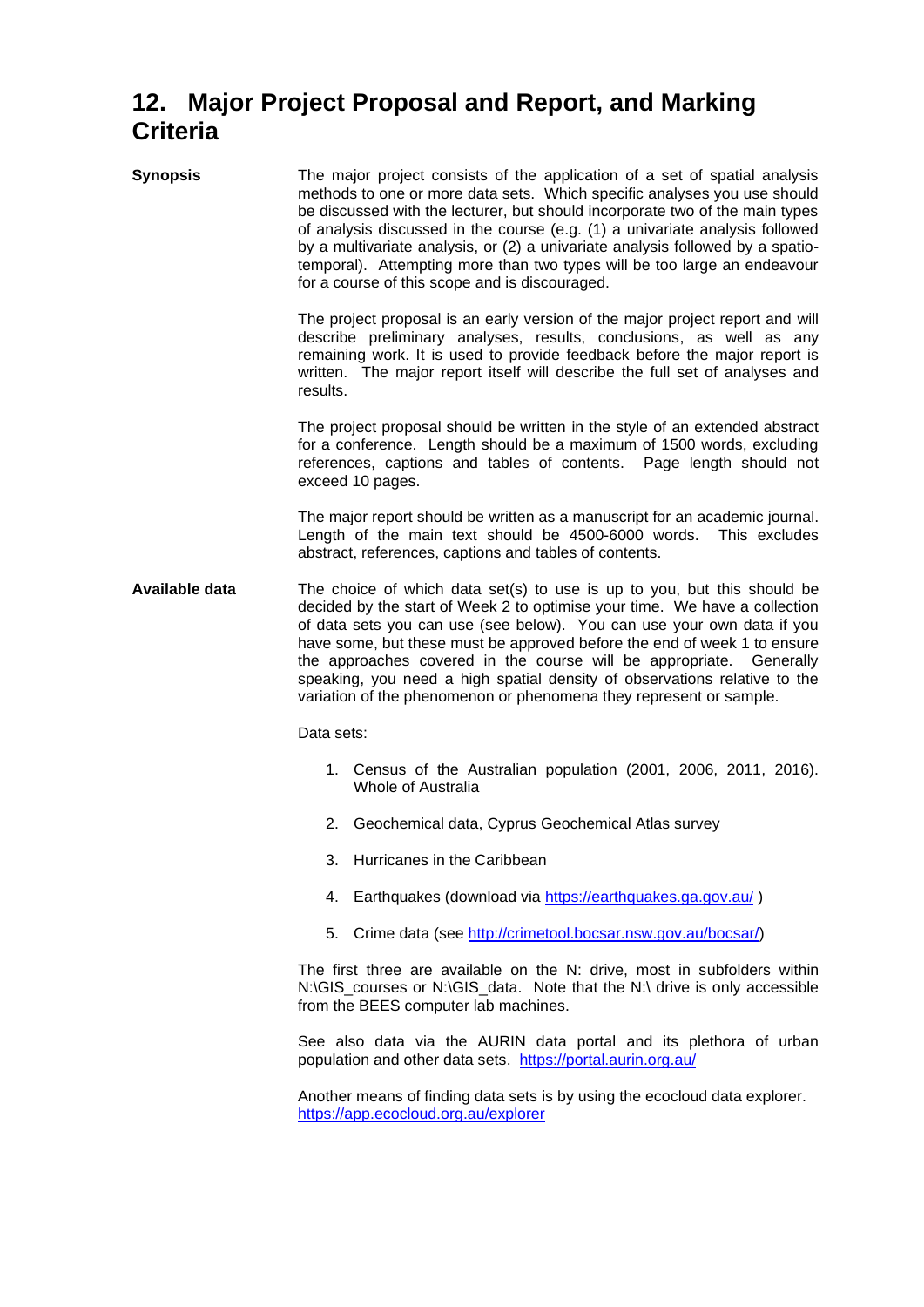## <span id="page-12-0"></span>**12. Major Project Proposal and Report, and Marking Criteria**

**Synopsis** The major project consists of the application of a set of spatial analysis methods to one or more data sets. Which specific analyses you use should be discussed with the lecturer, but should incorporate two of the main types of analysis discussed in the course (e.g. (1) a univariate analysis followed by a multivariate analysis, or (2) a univariate analysis followed by a spatiotemporal). Attempting more than two types will be too large an endeavour for a course of this scope and is discouraged.

> The project proposal is an early version of the major project report and will describe preliminary analyses, results, conclusions, as well as any remaining work. It is used to provide feedback before the major report is written. The major report itself will describe the full set of analyses and results.

> The project proposal should be written in the style of an extended abstract for a conference. Length should be a maximum of 1500 words, excluding references, captions and tables of contents. Page length should not exceed 10 pages.

> The major report should be written as a manuscript for an academic journal. Length of the main text should be 4500-6000 words. This excludes abstract, references, captions and tables of contents.

**Available data** The choice of which data set(s) to use is up to you, but this should be decided by the start of Week 2 to optimise your time. We have a collection of data sets you can use (see below). You can use your own data if you have some, but these must be approved before the end of week 1 to ensure the approaches covered in the course will be appropriate. Generally speaking, you need a high spatial density of observations relative to the variation of the phenomenon or phenomena they represent or sample.

Data sets:

- 1. Census of the Australian population (2001, 2006, 2011, 2016). Whole of Australia
- 2. Geochemical data, Cyprus Geochemical Atlas survey
- 3. Hurricanes in the Caribbean
- 4. Earthquakes (download via<https://earthquakes.ga.gov.au/> )
- 5. Crime data (see [http://crimetool.bocsar.nsw.gov.au/bocsar/\)](http://crimetool.bocsar.nsw.gov.au/bocsar/)

The first three are available on the N: drive, most in subfolders within N:\GIS\_courses or N:\GIS\_data. Note that the N:\ drive is only accessible from the BEES computer lab machines.

See also data via the AURIN data portal and its plethora of urban population and other data sets. <https://portal.aurin.org.au/>

Another means of finding data sets is by using the ecocloud data explorer. <https://app.ecocloud.org.au/explorer>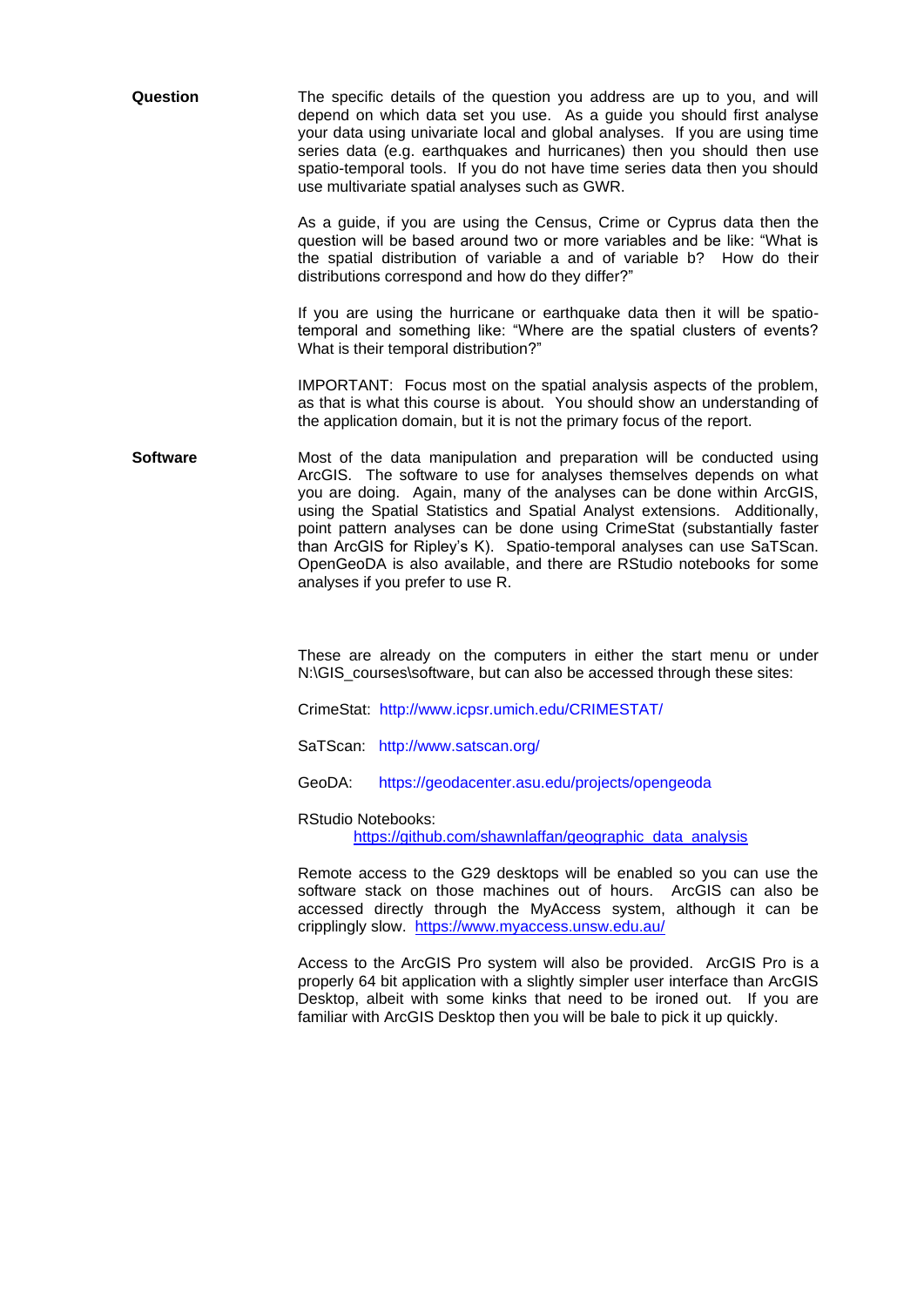| Question | The specific details of the question you address are up to you, and will    |
|----------|-----------------------------------------------------------------------------|
|          | depend on which data set you use. As a guide you should first analyse       |
|          | your data using univariate local and global analyses. If you are using time |
|          | series data (e.g. earthquakes and hurricanes) then you should then use      |
|          | spatio-temporal tools. If you do not have time series data then you should  |
|          | use multivariate spatial analyses such as GWR.                              |

As a guide, if you are using the Census, Crime or Cyprus data then the question will be based around two or more variables and be like: "What is the spatial distribution of variable a and of variable b? How do their distributions correspond and how do they differ?"

If you are using the hurricane or earthquake data then it will be spatiotemporal and something like: "Where are the spatial clusters of events? What is their temporal distribution?"

IMPORTANT: Focus most on the spatial analysis aspects of the problem, as that is what this course is about. You should show an understanding of the application domain, but it is not the primary focus of the report.

**Software Most** of the data manipulation and preparation will be conducted using ArcGIS. The software to use for analyses themselves depends on what you are doing. Again, many of the analyses can be done within ArcGIS, using the Spatial Statistics and Spatial Analyst extensions. Additionally, point pattern analyses can be done using CrimeStat (substantially faster than ArcGIS for Ripley's K). Spatio-temporal analyses can use SaTScan. OpenGeoDA is also available, and there are RStudio notebooks for some analyses if you prefer to use R.

> These are already on the computers in either the start menu or under N:\GIS\_courses\software, but can also be accessed through these sites:

CrimeStat: <http://www.icpsr.umich.edu/CRIMESTAT/>

SaTScan: <http://www.satscan.org/>

GeoDA: <https://geodacenter.asu.edu/projects/opengeoda>

RStudio Notebooks:

[https://github.com/shawnlaffan/geographic\\_data\\_analysis](https://github.com/shawnlaffan/geographic_data_analysis)

Remote access to the G29 desktops will be enabled so you can use the software stack on those machines out of hours. ArcGIS can also be accessed directly through the MyAccess system, although it can be cripplingly slow. <https://www.myaccess.unsw.edu.au/>

Access to the ArcGIS Pro system will also be provided. ArcGIS Pro is a properly 64 bit application with a slightly simpler user interface than ArcGIS Desktop, albeit with some kinks that need to be ironed out. If you are familiar with ArcGIS Desktop then you will be bale to pick it up quickly.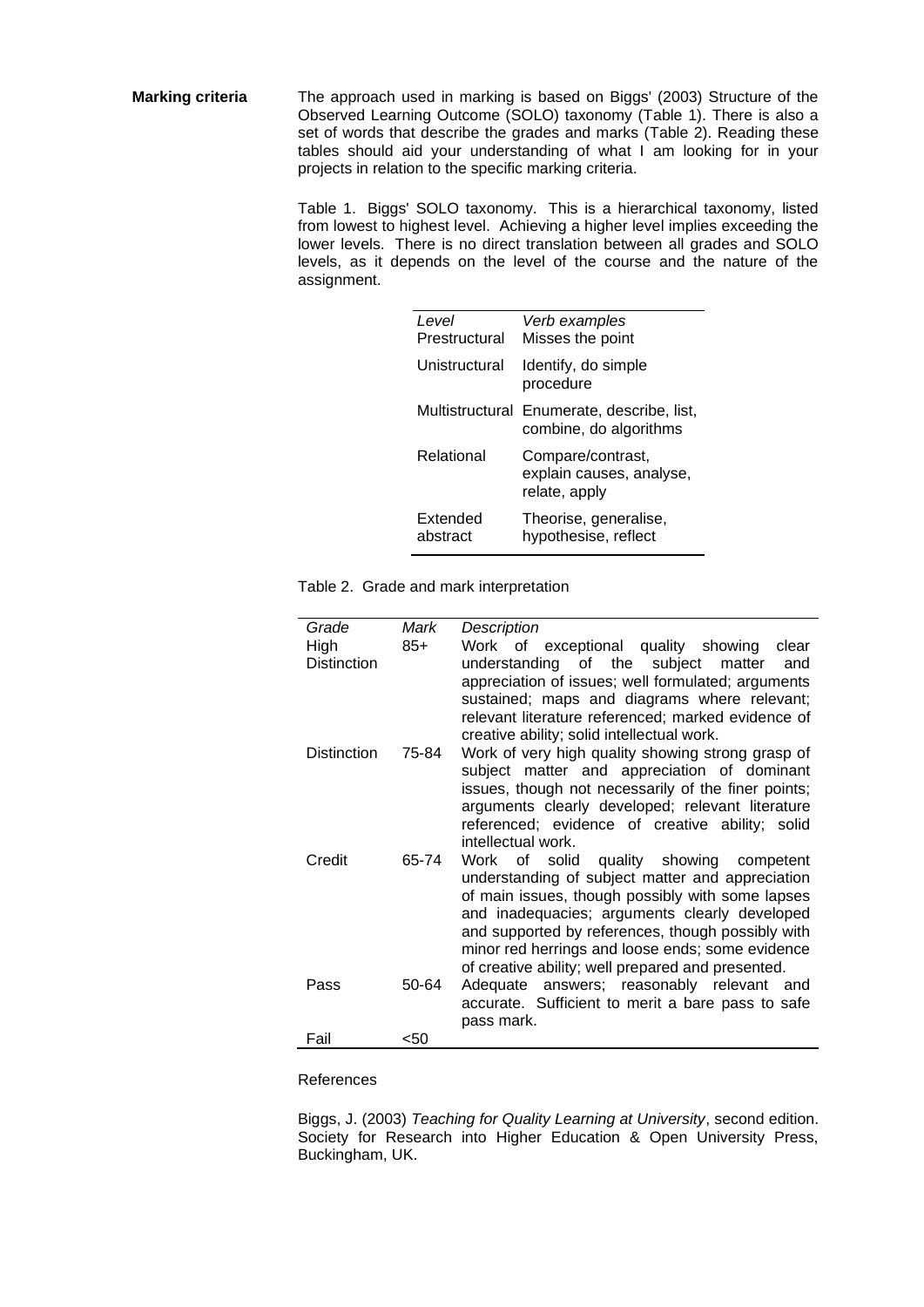**Marking criteria** The approach used in marking is based on Biggs' (2003) Structure of the Observed Learning Outcome (SOLO) taxonomy (Table 1). There is also a set of words that describe the grades and marks (Table 2). Reading these tables should aid your understanding of what I am looking for in your projects in relation to the specific marking criteria.

> Table 1. Biggs' SOLO taxonomy. This is a hierarchical taxonomy, listed from lowest to highest level. Achieving a higher level implies exceeding the lower levels. There is no direct translation between all grades and SOLO levels, as it depends on the level of the course and the nature of the assignment.

| Level<br>Prestructural | Verb examples<br>Misses the point                                    |
|------------------------|----------------------------------------------------------------------|
| Unistructural          | Identify, do simple<br>procedure                                     |
|                        | Multistructural Enumerate, describe, list,<br>combine, do algorithms |
| Relational             | Compare/contrast,<br>explain causes, analyse,<br>relate, apply       |
| Extended<br>abstract   | Theorise, generalise,<br>hypothesise, reflect                        |

Table 2. Grade and mark interpretation

| Grade              | Mark  | Description                                         |
|--------------------|-------|-----------------------------------------------------|
|                    |       |                                                     |
| High               | $85+$ | Work of exceptional quality showing<br>clear        |
| <b>Distinction</b> |       | understanding of the subject matter<br>and          |
|                    |       | appreciation of issues; well formulated; arguments  |
|                    |       | sustained; maps and diagrams where relevant;        |
|                    |       | relevant literature referenced; marked evidence of  |
|                    |       | creative ability; solid intellectual work.          |
| <b>Distinction</b> | 75-84 | Work of very high quality showing strong grasp of   |
|                    |       |                                                     |
|                    |       | subject matter and appreciation of dominant         |
|                    |       | issues, though not necessarily of the finer points; |
|                    |       | arguments clearly developed; relevant literature    |
|                    |       | referenced; evidence of creative ability; solid     |
|                    |       | intellectual work.                                  |
| Credit             | 65-74 | Work of solid quality showing<br>competent          |
|                    |       | understanding of subject matter and appreciation    |
|                    |       | of main issues, though possibly with some lapses    |
|                    |       |                                                     |
|                    |       | and inadequacies; arguments clearly developed       |
|                    |       | and supported by references, though possibly with   |
|                    |       | minor red herrings and loose ends; some evidence    |
|                    |       | of creative ability; well prepared and presented.   |
| Pass               | 50-64 | Adequate answers; reasonably relevant and           |
|                    |       | accurate. Sufficient to merit a bare pass to safe   |
|                    |       | pass mark.                                          |
|                    |       |                                                     |
| Fail               | <50   |                                                     |

References

Biggs, J. (2003) *Teaching for Quality Learning at University*, second edition. Society for Research into Higher Education & Open University Press, Buckingham, UK.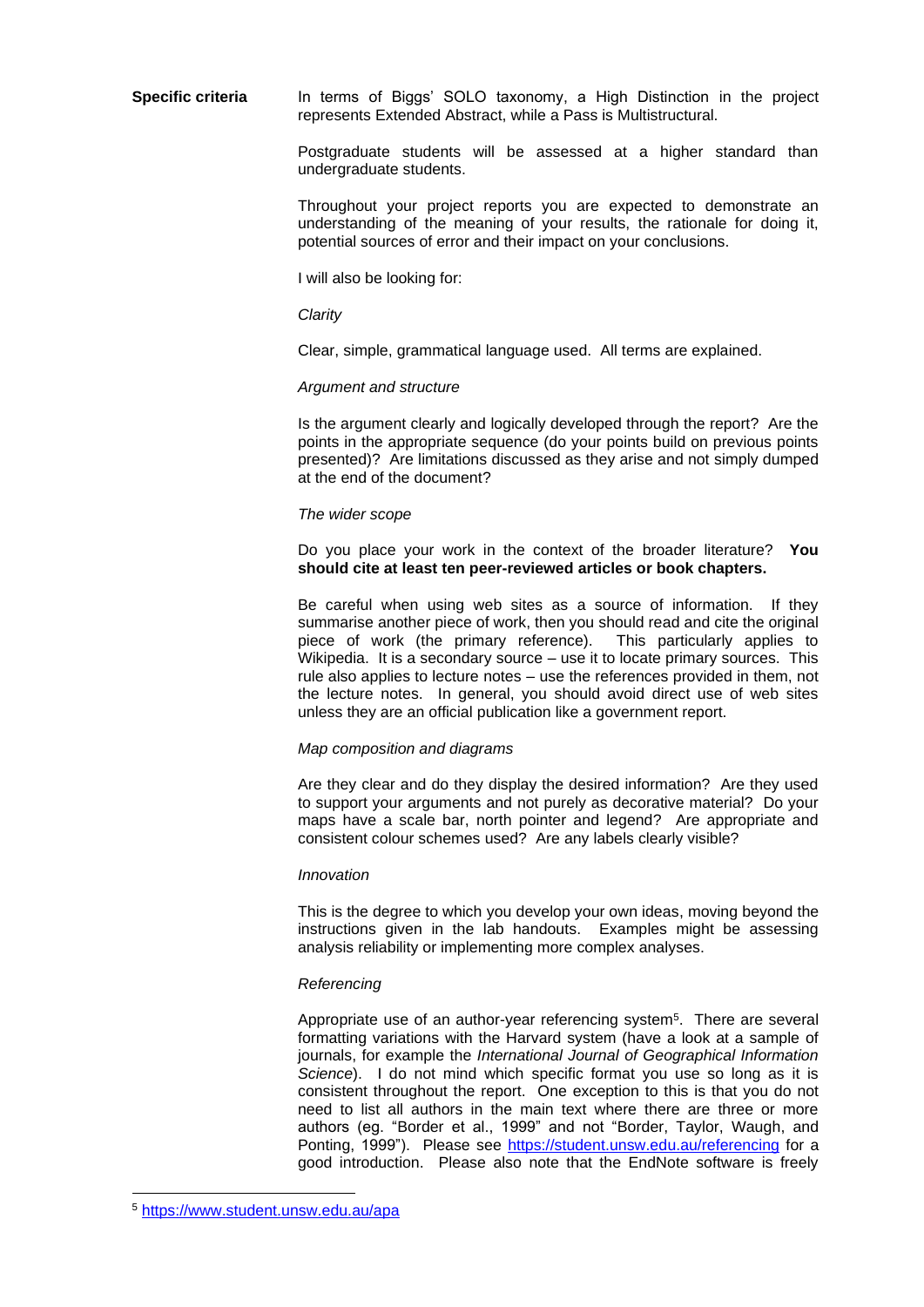**Specific criteria** In terms of Biggs' SOLO taxonomy, a High Distinction in the project represents Extended Abstract, while a Pass is Multistructural.

> Postgraduate students will be assessed at a higher standard than undergraduate students.

> Throughout your project reports you are expected to demonstrate an understanding of the meaning of your results, the rationale for doing it, potential sources of error and their impact on your conclusions.

I will also be looking for:

#### *Clarity*

Clear, simple, grammatical language used. All terms are explained.

#### *Argument and structure*

Is the argument clearly and logically developed through the report? Are the points in the appropriate sequence (do your points build on previous points presented)? Are limitations discussed as they arise and not simply dumped at the end of the document?

#### *The wider scope*

Do you place your work in the context of the broader literature? **You should cite at least ten peer-reviewed articles or book chapters.**

Be careful when using web sites as a source of information. If they summarise another piece of work, then you should read and cite the original piece of work (the primary reference). This particularly applies to Wikipedia. It is a secondary source – use it to locate primary sources. This rule also applies to lecture notes – use the references provided in them, not the lecture notes. In general, you should avoid direct use of web sites unless they are an official publication like a government report.

#### *Map composition and diagrams*

Are they clear and do they display the desired information? Are they used to support your arguments and not purely as decorative material? Do your maps have a scale bar, north pointer and legend? Are appropriate and consistent colour schemes used? Are any labels clearly visible?

#### *Innovation*

This is the degree to which you develop your own ideas, moving beyond the instructions given in the lab handouts. Examples might be assessing analysis reliability or implementing more complex analyses.

#### *Referencing*

Appropriate use of an author-year referencing system<sup>5</sup>. There are several formatting variations with the Harvard system (have a look at a sample of journals, for example the *International Journal of Geographical Information Science*). I do not mind which specific format you use so long as it is consistent throughout the report. One exception to this is that you do not need to list all authors in the main text where there are three or more authors (eg. "Border et al., 1999" and not "Border, Taylor, Waugh, and Ponting, 1999"). Please see https://student.unsw.edu.au/referencing for a good introduction. Please also note that the EndNote software is freely

<sup>5</sup> <https://www.student.unsw.edu.au/apa>